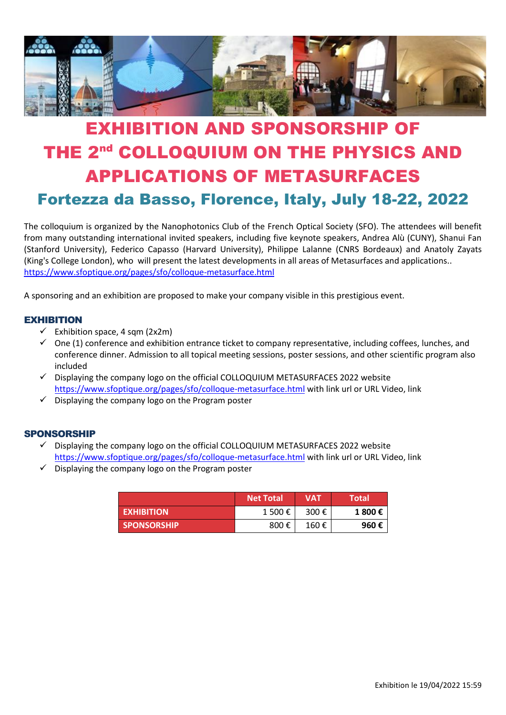

# EXHIBITION AND SPONSORSHIP OF THE 2<sup>nd</sup> COLLOQUIUM ON THE PHYSICS AND APPLICATIONS OF METASURFACES Fortezza da Basso, Florence, Italy, July 18-22, 2022

The colloquium is organized by the Nanophotonics Club of the French Optical Society (SFO). The attendees will benefit from many outstanding international invited speakers, including five keynote speakers, Andrea Alù (CUNY), Shanui Fan (Stanford University), Federico Capasso (Harvard University), Philippe Lalanne (CNRS Bordeaux) and Anatoly Zayats (King's College London), who will present the latest developments in all areas of Metasurfaces and applications.. <https://www.sfoptique.org/pages/sfo/colloque-metasurface.html>

A sponsoring and an exhibition are proposed to make your company visible in this prestigious event.

### **EXHIBITION**

- $\checkmark$  Exhibition space, 4 sqm (2x2m)
- $\checkmark$  One (1) conference and exhibition entrance ticket to company representative, including coffees, lunches, and conference dinner. Admission to all topical meeting sessions, poster sessions, and other scientific program also included
- ✓ Displaying the company logo on the official COLLOQUIUM METASURFACES 2022 website <https://www.sfoptique.org/pages/sfo/colloque-metasurface.html> with link url or URL Video, link
- $\checkmark$  Displaying the company logo on the Program poster

#### SPONSORSHIP

- $\checkmark$  Displaying the company logo on the official COLLOQUIUM METASURFACES 2022 website <https://www.sfoptique.org/pages/sfo/colloque-metasurface.html> with link url or URL Video, link
- $\checkmark$  Displaying the company logo on the Program poster

|                    | <b>Net Total</b> | <b>VAT</b> | <b>Total</b> |
|--------------------|------------------|------------|--------------|
| <b>EXHIBITION</b>  | 1 500 €          | 300 €      | 1 800€       |
| <b>SPONSORSHIP</b> | 800€             | 160€       | 960€         |